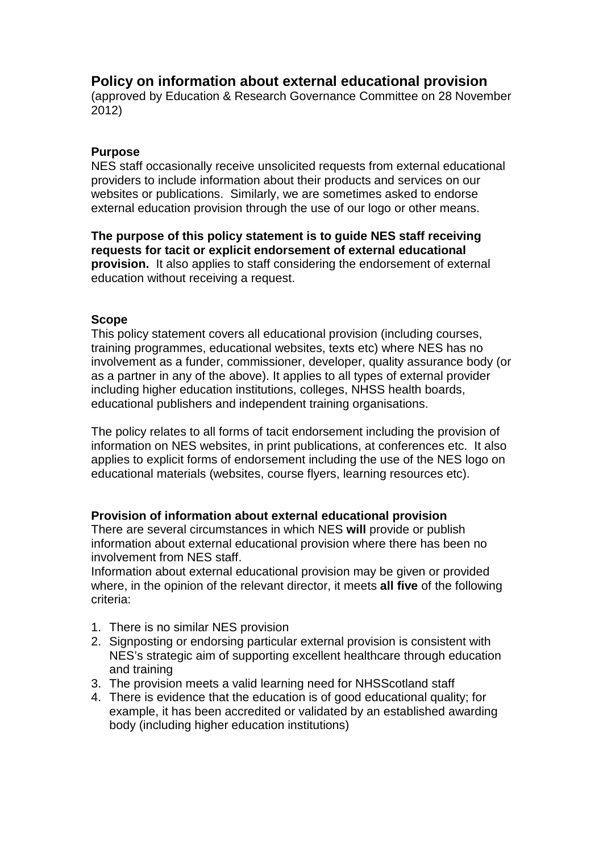# **Policy on information about external educational provision**

(approved by Education & Research Governance Committee on 28 November 2012)

### **Purpose**

NES staff occasionally receive unsolicited requests from external educational providers to include information about their products and services on our websites or publications. Similarly, we are sometimes asked to endorse external education provision through the use of our logo or other means.

**The purpose of this policy statement is to guide NES staff receiving requests for tacit or explicit endorsement of external educational provision.** It also applies to staff considering the endorsement of external education without receiving a request.

#### **Scope**

This policy statement covers all educational provision (including courses, training programmes, educational websites, texts etc) where NES has no involvement as a funder, commissioner, developer, quality assurance body (or as a partner in any of the above). It applies to all types of external provider including higher education institutions, colleges, NHSS health boards, educational publishers and independent training organisations.

The policy relates to all forms of tacit endorsement including the provision of information on NES websites, in print publications, at conferences etc. It also applies to explicit forms of endorsement including the use of the NES logo on educational materials (websites, course flyers, learning resources etc).

#### **Provision of information about external educational provision**

There are several circumstances in which NES **will** provide or publish information about external educational provision where there has been no involvement from NES staff.

Information about external educational provision may be given or provided where, in the opinion of the relevant director, it meets **all five** of the following criteria:

- 1. There is no similar NES provision
- 2. Signposting or endorsing particular external provision is consistent with NES's strategic aim of supporting excellent healthcare through education and training
- 3. The provision meets a valid learning need for NHSScotland staff
- 4. There is evidence that the education is of good educational quality; for example, it has been accredited or validated by an established awarding body (including higher education institutions)